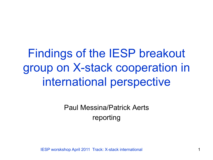Findings of the IESP breakout group on X-stack cooperation in international perspective

> Paul Messina/Patrick Aerts reporting

IESP worskshop April 2011 Track: X-stack international 1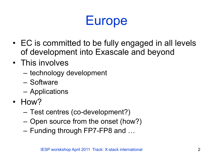## Europe

- EC is committed to be fully engaged in all levels of development into Exascale and beyond
- This involves
	- technology development
	- Software
	- Applications
- How?
	- Test centres (co-development?)
	- Open source from the onset (how?)
	- Funding through FP7-FP8 and …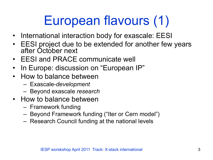# European flavours (1)

- International interaction body for exascale: EESI
- EESI project due to be extended for another few years after October next
- EESI and PRACE communicate well
- In Europe: discussion on "European IP"
- How to balance between
	- Exascale-*development*
	- Beyond exascale *research*
- How to balance between
	- Framework funding
	- Beyond Framework funding ("Iter or Cern model")
	- Research Council funding at the national levels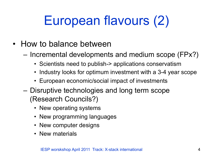# European flavours (2)

- How to balance between
	- Incremental developments and medium scope (FPx?)
		- Scientists need to publish-> applications conservatism
		- Industry looks for optimum investment with a 3-4 year scope
		- European economic/social impact of investments
	- Disruptive technologies and long term scope (Research Councils?)
		- New operating systems
		- New programming languages
		- New computer designs
		- New materials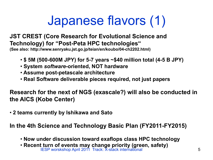## Japanese flavors (1)

**JST CREST (Core Research for Evolutional Science and Technology) for "Post-Peta HPC technologies" (See also: http://www.senryaku.jst.go.jp/teian/en/koubo/04-ch2202.html)**

- • **\$ 5M (500-600M JPY) for 5-7 years ~\$40 million total (4-5 B JPY)**
- • **System** *software***-oriented, NOT hardware**
- • **Assume post-petascale architecture**
- • **Real Software deliverable pieces required, not just papers**

**Research for the next of NGS (exascale?) will also be conducted in the AICS (Kobe Center)** 

• **2 teams currently by Ishikawa and Sato** 

**In the 4th Science and Technology Basic Plan (FY2011-FY2015)** 

- • **Now under discussion toward exaflops class HPC technology**
- IESP worskshop April 2011 Track: X-stack international 5 • **Recent turn of events may change priority (green, safety)**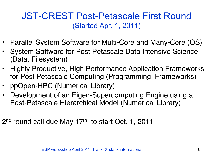#### JST-CREST Post-Petascale First Round (Started Apr. 1, 2011)

- Parallel System Software for Multi-Core and Many-Core (OS)
- System Software for Post Petascale Data Intensive Science (Data, Filesystem)
- Highly Productive, High Performance Application Frameworks for Post Petascale Computing (Programming, Frameworks)
- ppOpen-HPC (Numerical Library)
- Development of an Eigen-Supercomputing Engine using a Post-Petascale Hierarchical Model (Numerical Library)

2<sup>nd</sup> round call due May 17<sup>th</sup>, to start Oct. 1, 2011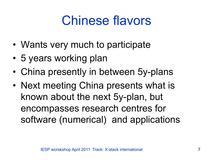## Chinese flavors

- Wants very much to participate
- 5 years working plan
- China presently in between 5y-plans
- Next meeting China presents what is known about the next 5y-plan, but encompasses research centres for software (numerical) and applications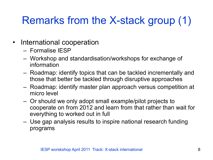## Remarks from the X-stack group (1)

- International cooperation
	- Formalise IESP
	- Workshop and standardisation/workshops for exchange of information
	- Roadmap: identify topics that can be tackled incrementally and those that better be tackled through disruptive approaches
	- Roadmap: identify master plan approach versus competition at micro level
	- Or should we only adopt small example/pilot projects to cooperate on from 2012 and learn from that rather than wait for everything to worked out in full
	- Use gap analysis results to inspire national research funding programs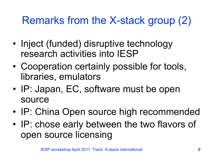## Remarks from the X-stack group (2)

- Inject (funded) disruptive technology research activities into IESP
- Cooperation certainly possible for tools, libraries, emulators
- IP: Japan, EC, software must be open source
- IP: China Open source high recommended
- IP: chose early between the two flavors of open source licensing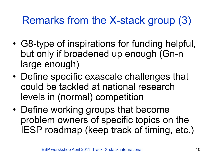## Remarks from the X-stack group (3)

- G8-type of inspirations for funding helpful, but only if broadened up enough (Gn-n large enough)
- Define specific exascale challenges that could be tackled at national research levels in (normal) competition
- Define working groups that become problem owners of specific topics on the IESP roadmap (keep track of timing, etc.)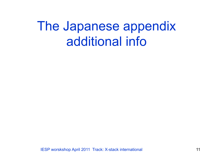## The Japanese appendix additional info

IESP worskshop April 2011 Track: X-stack international 11